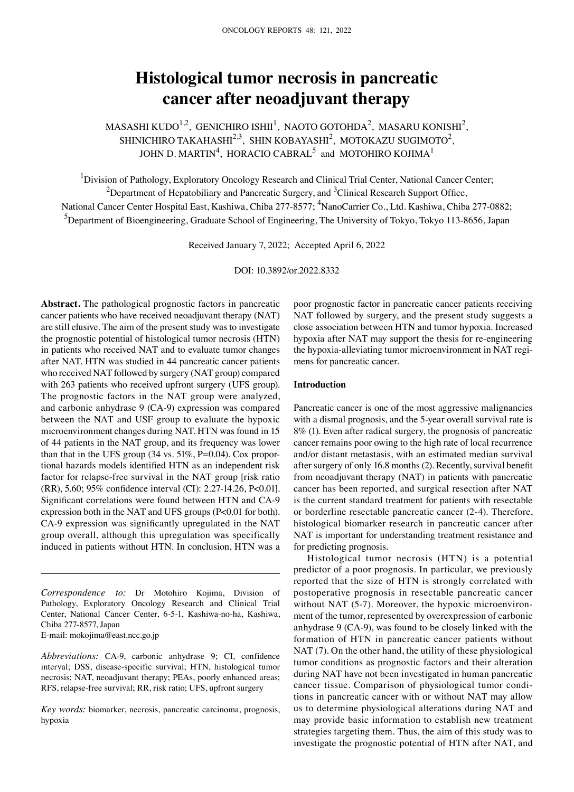# **Histological tumor necrosis in pancreatic cancer after neoadjuvant therapy**

MASASHI KUDO<sup>1,2</sup>, GENICHIRO ISHII<sup>1</sup>, NAOTO GOTOHDA<sup>2</sup>, MASARU KONISHI<sup>2</sup>, SHINICHIRO TAKAHASHI $^{2,3}$ , SHIN KOBAYASHI $^{2}$ , MOTOKAZU SUGIMOTO $^{2}$ , JOHN D. MARTIN $^4$ , HORACIO CABRAL $^5$  and MOTOHIRO KOJIMA $^1$ 

<sup>1</sup>Division of Pathology, Exploratory Oncology Research and Clinical Trial Center, National Cancer Center; <sup>2</sup>Department of Hepatobiliary and Pancreatic Surgery, and <sup>3</sup>Clinical Research Support Office, National Cancer Center Hospital East, Kashiwa, Chiba 277-8577; <sup>4</sup>NanoCarrier Co., Ltd. Kashiwa, Chiba 277-0882; <sup>5</sup>Department of Bioengineering, Graduate School of Engineering, The University of Tokyo, Tokyo 113-8656, Japan

Received January 7, 2022; Accepted April 6, 2022

DOI: 10.3892/or.2022.8332

**Abstract.** The pathological prognostic factors in pancreatic cancer patients who have received neoadjuvant therapy (NAT) are still elusive. The aim of the present study was to investigate the prognostic potential of histological tumor necrosis (HTN) in patients who received NAT and to evaluate tumor changes after NAT. HTN was studied in 44 pancreatic cancer patients who received NAT followed by surgery (NAT group) compared with 263 patients who received upfront surgery (UFS group). The prognostic factors in the NAT group were analyzed, and carbonic anhydrase 9 (CA‑9) expression was compared between the NAT and USF group to evaluate the hypoxic microenvironment changes during NAT. HTN was found in 15 of 44 patients in the NAT group, and its frequency was lower than that in the UFS group  $(34 \text{ vs. } 51\%, \text{P=0.04})$ . Cox proportional hazards models identified HTN as an independent risk factor for relapse-free survival in the NAT group [risk ratio] (RR), 5.60; 95% confidence interval (CI): 2.27‑14.26, P<0.01]. Significant correlations were found between HTN and CA‑9 expression both in the NAT and UFS groups (P<0.01 for both). CA‑9 expression was significantly upregulated in the NAT group overall, although this upregulation was specifically induced in patients without HTN. In conclusion, HTN was a

*Correspondence to:* Dr Motohiro Kojima, Division of Pathology, Exploratory Oncology Research and Clinical Trial Center, National Cancer Center, 6‑5‑1, Kashiwa‑no‑ha, Kashiwa, Chiba 277‑8577, Japan E‑mail: mokojima@east.ncc.go.jp

*Abbreviations:* CA‑9, carbonic anhydrase 9; CI, confidence interval; DSS, disease‑specific survival; HTN, histological tumor necrosis; NAT, neoadjuvant therapy; PEAs, poorly enhanced areas; RFS, relapse‑free survival; RR, risk ratio; UFS, upfront surgery

*Key words:* biomarker, necrosis, pancreatic carcinoma, prognosis, hypoxia

poor prognostic factor in pancreatic cancer patients receiving NAT followed by surgery, and the present study suggests a close association between HTN and tumor hypoxia. Increased hypoxia after NAT may support the thesis for re‑engineering the hypoxia-alleviating tumor microenvironment in NAT regimens for pancreatic cancer.

### **Introduction**

Pancreatic cancer is one of the most aggressive malignancies with a dismal prognosis, and the 5-year overall survival rate is 8% (1). Even after radical surgery, the prognosis of pancreatic cancer remains poor owing to the high rate of local recurrence and/or distant metastasis, with an estimated median survival after surgery of only 16.8 months (2). Recently, survival benefit from neoadjuvant therapy (NAT) in patients with pancreatic cancer has been reported, and surgical resection after NAT is the current standard treatment for patients with resectable or borderline resectable pancreatic cancer (2‑4). Therefore, histological biomarker research in pancreatic cancer after NAT is important for understanding treatment resistance and for predicting prognosis.

Histological tumor necrosis (HTN) is a potential predictor of a poor prognosis. In particular, we previously reported that the size of HTN is strongly correlated with postoperative prognosis in resectable pancreatic cancer without NAT (5-7). Moreover, the hypoxic microenvironment of the tumor, represented by overexpression of carbonic anhydrase 9 (CA‑9), was found to be closely linked with the formation of HTN in pancreatic cancer patients without NAT (7). On the other hand, the utility of these physiological tumor conditions as prognostic factors and their alteration during NAT have not been investigated in human pancreatic cancer tissue. Comparison of physiological tumor conditions in pancreatic cancer with or without NAT may allow us to determine physiological alterations during NAT and may provide basic information to establish new treatment strategies targeting them. Thus, the aim of this study was to investigate the prognostic potential of HTN after NAT, and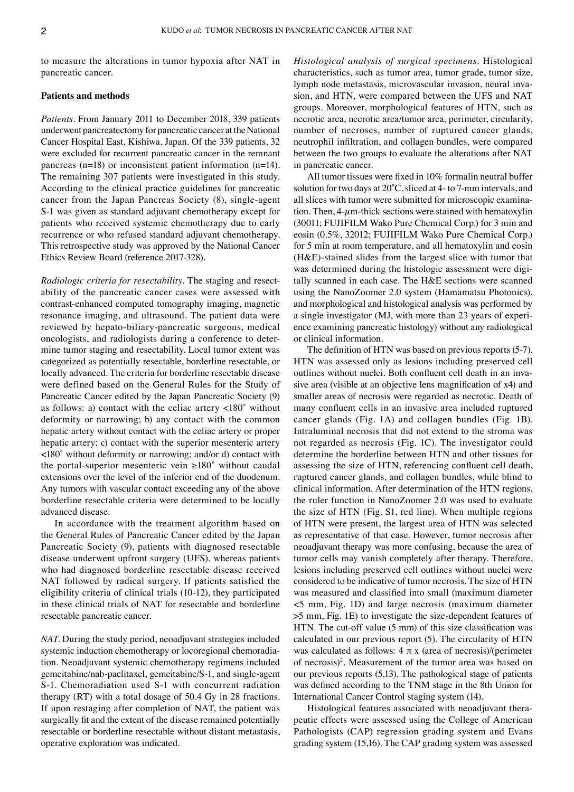to measure the alterations in tumor hypoxia after NAT in pancreatic cancer.

# **Patients and methods**

*Patients.* From January 2011 to December 2018, 339 patients underwent pancreatectomy for pancreatic cancer at the National Cancer Hospital East, Kishiwa, Japan. Of the 339 patients, 32 were excluded for recurrent pancreatic cancer in the remnant pancreas (n=18) or inconsistent patient information (n=14). The remaining 307 patients were investigated in this study. According to the clinical practice guidelines for pancreatic cancer from the Japan Pancreas Society (8), single-agent S-1 was given as standard adjuvant chemotherapy except for patients who received systemic chemotherapy due to early recurrence or who refused standard adjuvant chemotherapy. This retrospective study was approved by the National Cancer Ethics Review Board (reference 2017‑328).

*Radiologic criteria for resectability*. The staging and resectability of the pancreatic cancer cases were assessed with contrast‑enhanced computed tomography imaging, magnetic resonance imaging, and ultrasound. The patient data were reviewed by hepato-biliary-pancreatic surgeons, medical oncologists, and radiologists during a conference to determine tumor staging and resectability. Local tumor extent was categorized as potentially resectable, borderline resectable, or locally advanced. The criteria for borderline resectable disease were defined based on the General Rules for the Study of Pancreatic Cancer edited by the Japan Pancreatic Society (9) as follows: a) contact with the celiac artery <180˚ without deformity or narrowing; b) any contact with the common hepatic artery without contact with the celiac artery or proper hepatic artery; c) contact with the superior mesenteric artery <180˚ without deformity or narrowing; and/or d) contact with the portal-superior mesenteric vein  $\geq 180^\circ$  without caudal extensions over the level of the inferior end of the duodenum. Any tumors with vascular contact exceeding any of the above borderline resectable criteria were determined to be locally advanced disease.

In accordance with the treatment algorithm based on the General Rules of Pancreatic Cancer edited by the Japan Pancreatic Society (9), patients with diagnosed resectable disease underwent upfront surgery (UFS), whereas patients who had diagnosed borderline resectable disease received NAT followed by radical surgery. If patients satisfied the eligibility criteria of clinical trials (10‑12), they participated in these clinical trials of NAT for resectable and borderline resectable pancreatic cancer.

*NAT.* During the study period, neoadjuvant strategies included systemic induction chemotherapy or locoregional chemoradiation. Neoadjuvant systemic chemotherapy regimens included gemcitabine/nab‑paclitaxel, gemcitabine/S‑1, and single‑agent S-1. Chemoradiation used S-1 with concurrent radiation therapy (RT) with a total dosage of 50.4 Gy in 28 fractions. If upon restaging after completion of NAT, the patient was surgically fit and the extent of the disease remained potentially resectable or borderline resectable without distant metastasis, operative exploration was indicated.

*Histological analysis of surgical specimens.* Histological characteristics, such as tumor area, tumor grade, tumor size, lymph node metastasis, microvascular invasion, neural invasion, and HTN, were compared between the UFS and NAT groups. Moreover, morphological features of HTN, such as necrotic area, necrotic area/tumor area, perimeter, circularity, number of necroses, number of ruptured cancer glands, neutrophil infiltration, and collagen bundles, were compared between the two groups to evaluate the alterations after NAT in pancreatic cancer.

All tumor tissues were fixed in 10% formalin neutral buffer solution for two days at 20˚C, sliced at 4‑ to 7‑mm intervals, and all slices with tumor were submitted for microscopic examination. Then,  $4 - \mu$ m-thick sections were stained with hematoxylin (30011; FUJIFILM Wako Pure Chemical Corp.) for 3 min and eosin (0.5%, 32012; FUJIFILM Wako Pure Chemical Corp.) for 5 min at room temperature, and all hematoxylin and eosin (H&E)‑stained slides from the largest slice with tumor that was determined during the histologic assessment were digitally scanned in each case. The H&E sections were scanned using the NanoZoomer 2.0 system (Hamamatsu Photonics), and morphological and histological analysis was performed by a single investigator (MJ, with more than 23 years of experience examining pancreatic histology) without any radiological or clinical information.

The definition of HTN was based on previous reports (5‑7). HTN was assessed only as lesions including preserved cell outlines without nuclei. Both confluent cell death in an invasive area (visible at an objective lens magnification of x4) and smaller areas of necrosis were regarded as necrotic. Death of many confluent cells in an invasive area included ruptured cancer glands (Fig. 1A) and collagen bundles (Fig. 1B). Intraluminal necrosis that did not extend to the stroma was not regarded as necrosis (Fig. 1C). The investigator could determine the borderline between HTN and other tissues for assessing the size of HTN, referencing confluent cell death, ruptured cancer glands, and collagen bundles, while blind to clinical information. After determination of the HTN regions, the ruler function in NanoZoomer 2.0 was used to evaluate the size of HTN (Fig. S1, red line). When multiple regions of HTN were present, the largest area of HTN was selected as representative of that case. However, tumor necrosis after neoadjuvant therapy was more confusing, because the area of tumor cells may vanish completely after therapy. Therefore, lesions including preserved cell outlines without nuclei were considered to be indicative of tumor necrosis. The size of HTN was measured and classified into small (maximum diameter <5 mm, Fig. 1D) and large necrosis (maximum diameter >5 mm, Fig. 1E) to investigate the size‑dependent features of HTN. The cut-off value (5 mm) of this size classification was calculated in our previous report (5). The circularity of HTN was calculated as follows:  $4 \pi x$  (area of necrosis)/(perimeter of necrosis)2 . Measurement of the tumor area was based on our previous reports (5,13). The pathological stage of patients was defined according to the TNM stage in the 8th Union for International Cancer Control staging system (14).

Histological features associated with neoadjuvant therapeutic effects were assessed using the College of American Pathologists (CAP) regression grading system and Evans grading system (15,16). The CAP grading system was assessed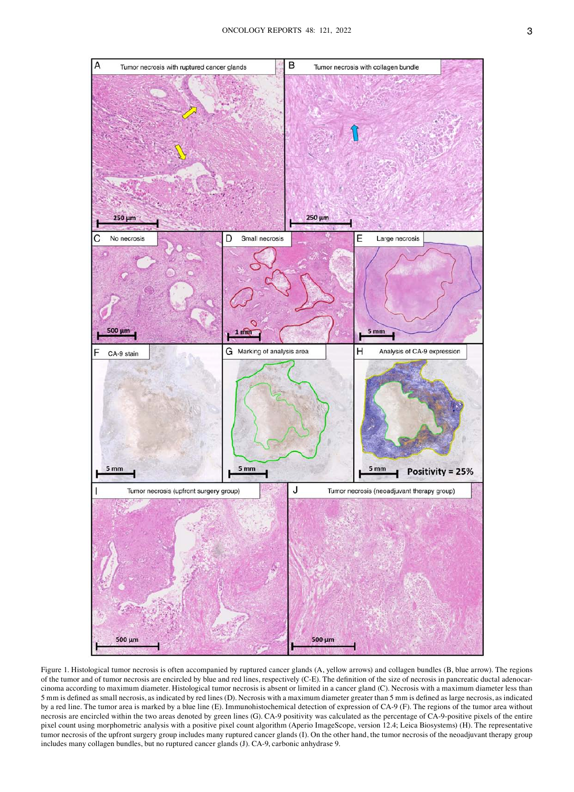

Figure 1. Histological tumor necrosis is often accompanied by ruptured cancer glands (A, yellow arrows) and collagen bundles (B, blue arrow). The regions of the tumor and of tumor necrosis are encircled by blue and red lines, respectively (C-E). The definition of the size of necrosis in pancreatic ductal adenocarcinoma according to maximum diameter. Histological tumor necrosis is absent or limited in a cancer gland (C). Necrosis with a maximum diameter less than 5 mm is defined as small necrosis, as indicated by red lines (D). Necrosis with a maximum diameter greater than 5 mm is defined as large necrosis, as indicated by a red line. The tumor area is marked by a blue line (E). Immunohistochemical detection of expression of CA-9 (F). The regions of the tumor area without necrosis are encircled within the two areas denoted by green lines (G). CA‑9 positivity was calculated as the percentage of CA‑9‐positive pixels of the entire pixel count using morphometric analysis with a positive pixel count algorithm (Aperio ImageScope, version 12.4; Leica Biosystems) (H). The representative tumor necrosis of the upfront surgery group includes many ruptured cancer glands (I). On the other hand, the tumor necrosis of the neoadjuvant therapy group includes many collagen bundles, but no ruptured cancer glands (J). CA‑9, carbonic anhydrase 9.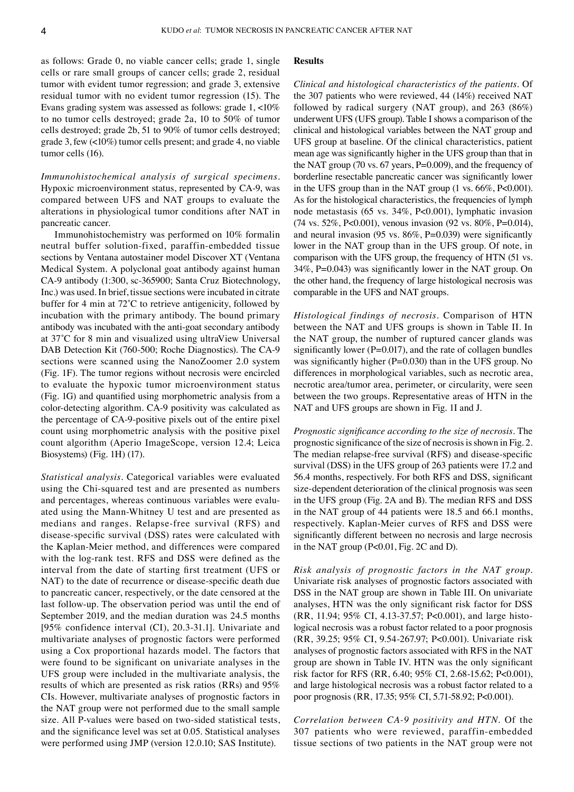as follows: Grade 0, no viable cancer cells; grade 1, single cells or rare small groups of cancer cells; grade 2, residual tumor with evident tumor regression; and grade 3, extensive residual tumor with no evident tumor regression (15). The Evans grading system was assessed as follows: grade 1, <10% to no tumor cells destroyed; grade 2a, 10 to 50% of tumor cells destroyed; grade 2b, 51 to 90% of tumor cells destroyed; grade 3, few (<10%) tumor cells present; and grade 4, no viable tumor cells (16).

*Immunohistochemical analysis of surgical specimens.*  Hypoxic microenvironment status, represented by CA‑9, was compared between UFS and NAT groups to evaluate the alterations in physiological tumor conditions after NAT in pancreatic cancer.

Immunohistochemistry was performed on 10% formalin neutral buffer solution‑fixed, paraffin‑embedded tissue sections by Ventana autostainer model Discover XT (Ventana Medical System. A polyclonal goat antibody against human CA‑9 antibody (1:300, sc‑365900; Santa Cruz Biotechnology, Inc.) was used. In brief, tissue sections were incubated in citrate buffer for 4 min at 72˚C to retrieve antigenicity, followed by incubation with the primary antibody. The bound primary antibody was incubated with the anti‑goat secondary antibody at 37˚C for 8 min and visualized using ultraView Universal DAB Detection Kit (760–500; Roche Diagnostics). The CA-9 sections were scanned using the NanoZoomer 2.0 system (Fig. 1F). The tumor regions without necrosis were encircled to evaluate the hypoxic tumor microenvironment status (Fig. 1G) and quantified using morphometric analysis from a color‑detecting algorithm. CA‑9 positivity was calculated as the percentage of CA‑9‑positive pixels out of the entire pixel count using morphometric analysis with the positive pixel count algorithm (Aperio ImageScope, version 12.4; Leica Biosystems) (Fig. 1H) (17).

*Statistical analysis.* Categorical variables were evaluated using the Chi-squared test and are presented as numbers and percentages, whereas continuous variables were evaluated using the Mann‑Whitney U test and are presented as medians and ranges. Relapse‑free survival (RFS) and disease‑specific survival (DSS) rates were calculated with the Kaplan‑Meier method, and differences were compared with the log-rank test. RFS and DSS were defined as the interval from the date of starting first treatment (UFS or NAT) to the date of recurrence or disease‑specific death due to pancreatic cancer, respectively, or the date censored at the last follow‑up. The observation period was until the end of September 2019, and the median duration was 24.5 months [95% confidence interval (CI), 20.3‑31.1]. Univariate and multivariate analyses of prognostic factors were performed using a Cox proportional hazards model. The factors that were found to be significant on univariate analyses in the UFS group were included in the multivariate analysis, the results of which are presented as risk ratios (RRs) and 95% CIs. However, multivariate analyses of prognostic factors in the NAT group were not performed due to the small sample size. All P-values were based on two-sided statistical tests, and the significance level was set at 0.05. Statistical analyses were performed using JMP (version 12.0.10; SAS Institute).

### **Results**

*Clinical and histological characteristics of the patients.* Of the 307 patients who were reviewed, 44 (14%) received NAT followed by radical surgery (NAT group), and 263 (86%) underwent UFS (UFS group). Table I shows a comparison of the clinical and histological variables between the NAT group and UFS group at baseline. Of the clinical characteristics, patient mean age was significantly higher in the UFS group than that in the NAT group (70 vs. 67 years, P=0.009), and the frequency of borderline resectable pancreatic cancer was significantly lower in the UFS group than in the NAT group (1 vs. 66%, P<0.001). As for the histological characteristics, the frequencies of lymph node metastasis (65 vs. 34%, P<0.001), lymphatic invasion (74 vs. 52%, P<0.001), venous invasion (92 vs. 80%, P=0.014), and neural invasion (95 vs.  $86\%$ , P=0.039) were significantly lower in the NAT group than in the UFS group. Of note, in comparison with the UFS group, the frequency of HTN (51 vs. 34%, P=0.043) was significantly lower in the NAT group. On the other hand, the frequency of large histological necrosis was comparable in the UFS and NAT groups.

*Histological findings of necrosis.* Comparison of HTN between the NAT and UFS groups is shown in Table II. In the NAT group, the number of ruptured cancer glands was significantly lower ( $P=0.017$ ), and the rate of collagen bundles was significantly higher (P=0.030) than in the UFS group. No differences in morphological variables, such as necrotic area, necrotic area/tumor area, perimeter, or circularity, were seen between the two groups. Representative areas of HTN in the NAT and UFS groups are shown in Fig. 1I and J.

*Prognostic significance according to the size of necrosis.* The prognostic significance of the size of necrosis is shown in Fig. 2. The median relapse-free survival (RFS) and disease-specific survival (DSS) in the UFS group of 263 patients were 17.2 and 56.4 months, respectively. For both RFS and DSS, significant size-dependent deterioration of the clinical prognosis was seen in the UFS group (Fig. 2A and B). The median RFS and DSS in the NAT group of 44 patients were 18.5 and 66.1 months, respectively. Kaplan‑Meier curves of RFS and DSS were significantly different between no necrosis and large necrosis in the NAT group (P<0.01, Fig. 2C and D).

*Risk analysis of prognostic factors in the NAT group.*  Univariate risk analyses of prognostic factors associated with DSS in the NAT group are shown in Table III. On univariate analyses, HTN was the only significant risk factor for DSS (RR, 11.94; 95% CI, 4.13‑37.57; P<0.001), and large histo‑ logical necrosis was a robust factor related to a poor prognosis (RR, 39.25; 95% CI, 9.54‑267.97; P<0.001). Univariate risk analyses of prognostic factors associated with RFS in the NAT group are shown in Table IV. HTN was the only significant risk factor for RFS (RR, 6.40; 95% CI, 2.68‑15.62; P<0.001), and large histological necrosis was a robust factor related to a poor prognosis (RR, 17.35; 95% CI, 5.71‑58.92; P<0.001).

*Correlation between CA‑9 positivity and HTN.* Of the 307 patients who were reviewed, paraffin‑embedded tissue sections of two patients in the NAT group were not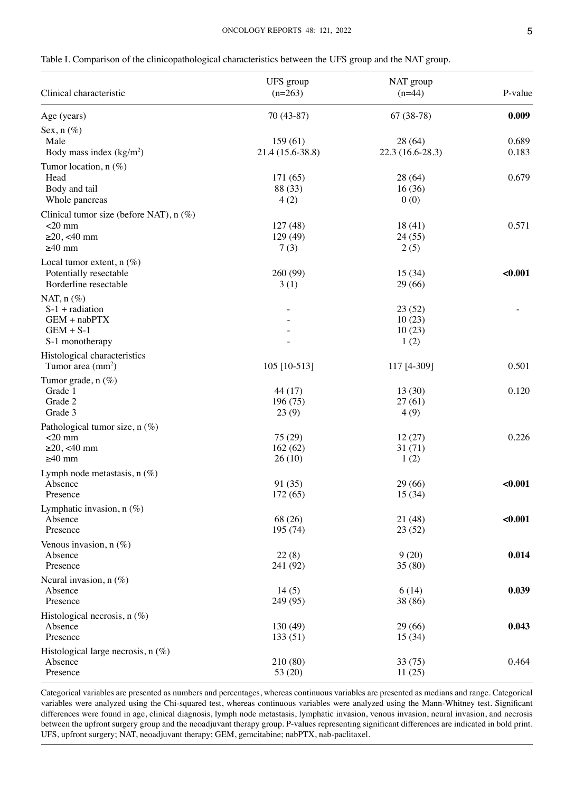| Clinical characteristic                                                                     | UFS group<br>$(n=263)$      | NAT group<br>$(n=44)$              | P-value        |
|---------------------------------------------------------------------------------------------|-----------------------------|------------------------------------|----------------|
| Age (years)                                                                                 | 70 (43-87)                  | $67(38-78)$                        | 0.009          |
| Sex, $n$ (%)<br>Male<br>Body mass index $(kg/m2)$                                           | 159(61)<br>21.4 (15.6-38.8) | 28 (64)<br>22.3 (16.6-28.3)        | 0.689<br>0.183 |
| Tumor location, $n(\%)$<br>Head<br>Body and tail<br>Whole pancreas                          | 171(65)<br>88 (33)<br>4(2)  | 28 (64)<br>16(36)<br>0(0)          | 0.679          |
| Clinical tumor size (before NAT), $n$ (%)<br>$<$ 20 mm<br>$\geq$ 20, <40 mm<br>$\geq 40$ mm | 127(48)<br>129(49)<br>7(3)  | 18(41)<br>24(55)<br>2(5)           | 0.571          |
| Local tumor extent, $n$ (%)<br>Potentially resectable<br>Borderline resectable              | 260 (99)<br>3(1)            | 15(34)<br>29 (66)                  | < 0.001        |
| NAT, $n$ (%)<br>$S-1$ + radiation<br>GEM + nabPTX<br>$GEM + S-1$<br>S-1 monotherapy         |                             | 23(52)<br>10(23)<br>10(23)<br>1(2) |                |
| Histological characteristics<br>Tumor area $\text{(mm}^2)$                                  | 105 [10-513]                | 117 [4-309]                        | 0.501          |
| Tumor grade, n (%)<br>Grade 1<br>Grade 2<br>Grade 3                                         | 44(17)<br>196(75)<br>23(9)  | 13(30)<br>27(61)<br>4(9)           | 0.120          |
| Pathological tumor size, n (%)<br>$<$ 20 mm<br>$\geq$ 20, <40 mm<br>$\geq 40$ mm            | 75(29)<br>162(62)<br>26(10) | 12(27)<br>31(71)<br>1(2)           | 0.226          |
| Lymph node metastasis, $n$ (%)<br>Absence<br>Presence                                       | 91 (35)<br>172(65)          | 29 (66)<br>15(34)                  | < 0.001        |
| Lymphatic invasion, n (%)<br>Absence<br>Presence                                            | 68 (26)<br>195 (74)         | 21 (48)<br>23(52)                  | < 0.001        |
| Venous invasion, $n(\%)$<br>Absence<br>Presence                                             | 22(8)<br>241 (92)           | 9(20)<br>35(80)                    | 0.014          |
| Neural invasion, $n(\%)$<br>Absence<br>Presence                                             | 14(5)<br>249 (95)           | 6(14)<br>38 (86)                   | 0.039          |
| Histological necrosis, $n$ (%)<br>Absence<br>Presence                                       | 130 (49)<br>133 (51)        | 29 (66)<br>15 (34)                 | 0.043          |
| Histological large necrosis, $n$ (%)<br>Absence<br>Presence                                 | 210 (80)<br>53 (20)         | 33(75)<br>11(25)                   | 0.464          |

Categorical variables are presented as numbers and percentages, whereas continuous variables are presented as medians and range. Categorical variables were analyzed using the Chi-squared test, whereas continuous variables were analyzed using the Mann-Whitney test. Significant differences were found in age, clinical diagnosis, lymph node metastasis, lymphatic invasion, venous invasion, neural invasion, and necrosis between the upfront surgery group and the neoadjuvant therapy group. P-values representing significant differences are indicated in bold print. UFS, upfront surgery; NAT, neoadjuvant therapy; GEM, gemcitabine; nabPTX, nab-paclitaxel.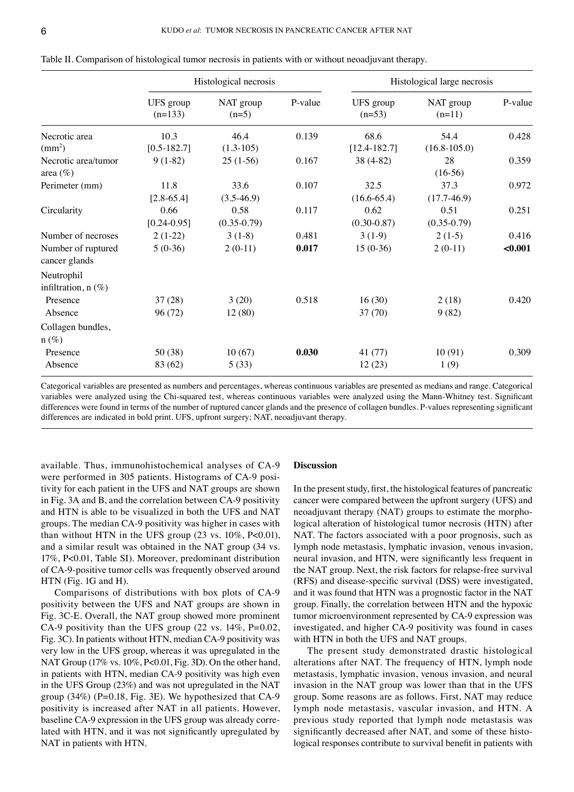|                                     | Histological necrosis   |                         |         |                          | Histological large necrosis |         |
|-------------------------------------|-------------------------|-------------------------|---------|--------------------------|-----------------------------|---------|
|                                     | UFS group<br>$(n=133)$  | NAT group<br>$(n=5)$    | P-value | UFS group<br>$(n=53)$    | NAT group<br>$(n=11)$       | P-value |
| Necrotic area<br>$\text{(mm}^2)$    | 10.3<br>$[0.5 - 182.7]$ | 46.4<br>$(1.3-105)$     | 0.139   | 68.6<br>$[12.4 - 182.7]$ | 54.4<br>$(16.8 - 105.0)$    | 0.428   |
| Necrotic area/tumor<br>area $(\%)$  | $9(1-82)$               | $25(1-56)$              | 0.167   | 38 (4-82)                | 28<br>$(16-56)$             | 0.359   |
| Perimeter (mm)                      | 11.8<br>$[2.8 - 65.4]$  | 33.6<br>$(3.5-46.9)$    | 0.107   | 32.5<br>$(16.6 - 65.4)$  | 37.3<br>$(17.7-46.9)$       | 0.972   |
| Circularity                         | 0.66<br>$[0.24 - 0.95]$ | 0.58<br>$(0.35 - 0.79)$ | 0.117   | 0.62<br>$(0.30 - 0.87)$  | 0.51<br>$(0.35 - 0.79)$     | 0.251   |
| Number of necroses                  | $2(1-22)$               | $3(1-8)$                | 0.481   | $3(1-9)$                 | $2(1-5)$                    | 0.416   |
| Number of ruptured<br>cancer glands | $5(0-36)$               | $2(0-11)$               | 0.017   | $15(0-36)$               | $2(0-11)$                   | $0.001$ |
| Neutrophil<br>infiltration, n (%)   |                         |                         |         |                          |                             |         |
| Presence                            | 37(28)                  | 3(20)                   | 0.518   | 16(30)                   | 2(18)                       | 0.420   |
| Absence                             | 96 (72)                 | 12(80)                  |         | 37(70)                   | 9(82)                       |         |
| Collagen bundles,<br>$n (\%)$       |                         |                         |         |                          |                             |         |
| Presence                            | 50 (38)                 | 10(67)                  | 0.030   | 41(77)                   | 10(91)                      | 0.309   |
| Absence                             | 83 (62)                 | 5(33)                   |         | 12(23)                   | 1(9)                        |         |

Table II. Comparison of histological tumor necrosis in patients with or without neoadjuvant therapy.

Categorical variables are presented as numbers and percentages, whereas continuous variables are presented as medians and range. Categorical variables were analyzed using the Chi-squared test, whereas continuous variables were analyzed using the Mann-Whitney test. Significant differences were found in terms of the number of ruptured cancer glands and the presence of collagen bundles. P-values representing significant differences are indicated in bold print. UFS, upfront surgery; NAT, neoadjuvant therapy.

available. Thus, immunohistochemical analyses of CA‑9 were performed in 305 patients. Histograms of CA-9 positivity for each patient in the UFS and NAT groups are shown in Fig. 3A and B, and the correlation between CA‑9 positivity and HTN is able to be visualized in both the UFS and NAT groups. The median CA‑9 positivity was higher in cases with than without HTN in the UFS group  $(23 \text{ vs. } 10\%, \text{ P}<0.01)$ , and a similar result was obtained in the NAT group (34 vs. 17%, P<0.01, Table SI). Moreover, predominant distribution of CA‑9‑positive tumor cells was frequently observed around HTN (Fig. 1G and H).

Comparisons of distributions with box plots of CA‑9 positivity between the UFS and NAT groups are shown in Fig. 3C‑E. Overall, the NAT group showed more prominent CA-9 positivity than the UFS group  $(22 \text{ vs. } 14\%, \text{P=0.02},$ Fig. 3C). In patients without HTN, median CA‑9 positivity was very low in the UFS group, whereas it was upregulated in the NAT Group (17% vs. 10%, P<0.01, Fig. 3D). On the other hand, in patients with HTN, median CA-9 positivity was high even in the UFS Group (23%) and was not upregulated in the NAT group (34%) (P=0.18, Fig. 3E). We hypothesized that CA‑9 positivity is increased after NAT in all patients. However, baseline CA-9 expression in the UFS group was already correlated with HTN, and it was not significantly upregulated by NAT in patients with HTN.

## **Discussion**

In the present study, first, the histological features of pancreatic cancer were compared between the upfront surgery (UFS) and neoadjuvant therapy (NAT) groups to estimate the morphological alteration of histological tumor necrosis (HTN) after NAT. The factors associated with a poor prognosis, such as lymph node metastasis, lymphatic invasion, venous invasion, neural invasion, and HTN, were significantly less frequent in the NAT group. Next, the risk factors for relapse‑free survival (RFS) and disease‑specific survival (DSS) were investigated, and it was found that HTN was a prognostic factor in the NAT group. Finally, the correlation between HTN and the hypoxic tumor microenvironment represented by CA-9 expression was investigated, and higher CA‑9 positivity was found in cases with HTN in both the UFS and NAT groups.

The present study demonstrated drastic histological alterations after NAT. The frequency of HTN, lymph node metastasis, lymphatic invasion, venous invasion, and neural invasion in the NAT group was lower than that in the UFS group. Some reasons are as follows. First, NAT may reduce lymph node metastasis, vascular invasion, and HTN. A previous study reported that lymph node metastasis was significantly decreased after NAT, and some of these histological responses contribute to survival benefit in patients with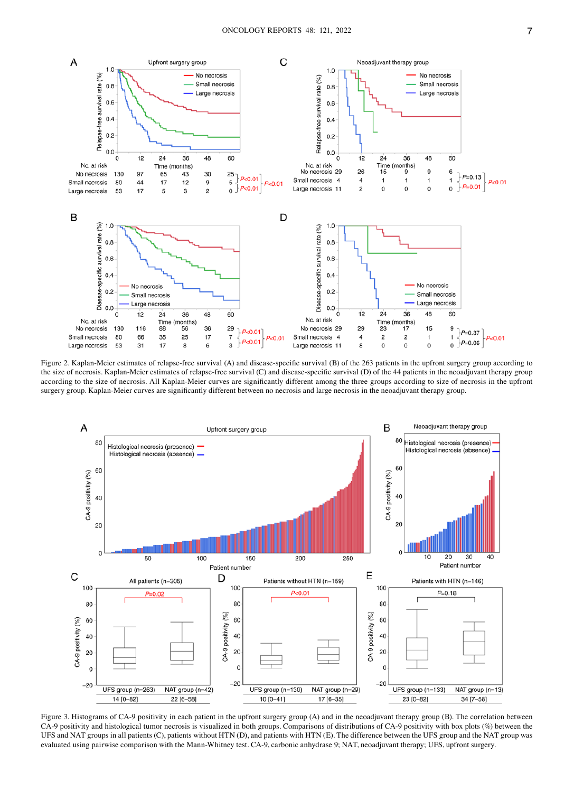

Figure 2. Kaplan-Meier estimates of relapse-free survival (A) and disease-specific survival (B) of the 263 patients in the upfront surgery group according to the size of necrosis. Kaplan-Meier estimates of relapse-free survival (C) and disease-specific survival (D) of the 44 patients in the neoadjuvant therapy group according to the size of necrosis. All Kaplan-Meier curves are significantly different among the three groups according to size of necrosis in the upfront surgery group. Kaplan‑Meier curves are significantly different between no necrosis and large necrosis in the neoadjuvant therapy group.



Figure 3. Histograms of CA-9 positivity in each patient in the upfront surgery group (A) and in the neoadjuvant therapy group (B). The correlation between CA-9 positivity and histological tumor necrosis is visualized in both groups. Comparisons of distributions of CA-9 positivity with box plots (%) between the UFS and NAT groups in all patients (C), patients without HTN (D), and patients with HTN (E). The difference between the UFS group and the NAT group was evaluated using pairwise comparison with the Mann‑Whitney test. CA‑9, carbonic anhydrase 9; NAT, neoadjuvant therapy; UFS, upfront surgery.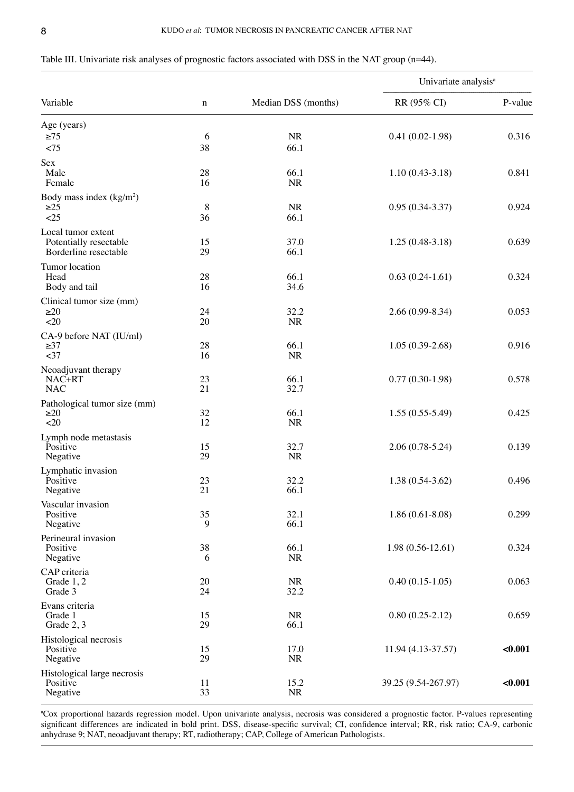| Table III. Univariate risk analyses of prognostic factors associated with DSS in the NAT group $(n=44)$ . |  |
|-----------------------------------------------------------------------------------------------------------|--|
|-----------------------------------------------------------------------------------------------------------|--|

|                                        |             |                     | Univariate analysis <sup>a</sup> |         |
|----------------------------------------|-------------|---------------------|----------------------------------|---------|
| Variable                               | $\mathbf n$ | Median DSS (months) | RR (95% CI)                      | P-value |
| Age (years)                            |             |                     |                                  |         |
| $\geq$ 75                              | 6           | NR                  | $0.41(0.02-1.98)$                | 0.316   |
| < 75                                   | 38          | 66.1                |                                  |         |
| Sex                                    |             |                     |                                  |         |
| Male<br>Female                         | 28<br>16    | 66.1<br><b>NR</b>   | $1.10(0.43-3.18)$                | 0.841   |
|                                        |             |                     |                                  |         |
| Body mass index $(kg/m2)$<br>$\geq$ 25 | 8           | <b>NR</b>           | $0.95(0.34-3.37)$                | 0.924   |
| <25                                    | 36          | 66.1                |                                  |         |
| Local tumor extent                     |             |                     |                                  |         |
| Potentially resectable                 | 15          | 37.0                | $1.25(0.48-3.18)$                | 0.639   |
| Borderline resectable                  | 29          | 66.1                |                                  |         |
| Tumor location                         |             |                     |                                  |         |
| Head                                   | 28          | 66.1                | $0.63(0.24-1.61)$                | 0.324   |
| Body and tail                          | 16          | 34.6                |                                  |         |
| Clinical tumor size (mm)               |             |                     |                                  |         |
| $\geq 20$                              | 24          | 32.2                | $2.66(0.99 - 8.34)$              | 0.053   |
| $<$ 20                                 | 20          | <b>NR</b>           |                                  |         |
| CA-9 before NAT (IU/ml)                |             |                     |                                  |         |
| $\geq 37$<br><37                       | 28<br>16    | 66.1<br><b>NR</b>   | $1.05(0.39-2.68)$                | 0.916   |
|                                        |             |                     |                                  |         |
| Neoadjuvant therapy<br>NAC+RT          | 23          | 66.1                | $0.77(0.30-1.98)$                | 0.578   |
| <b>NAC</b>                             | 21          | 32.7                |                                  |         |
| Pathological tumor size (mm)           |             |                     |                                  |         |
| $\geq 20$                              | 32          | 66.1                | $1.55(0.55-5.49)$                | 0.425   |
| <20                                    | 12          | <b>NR</b>           |                                  |         |
| Lymph node metastasis                  |             |                     |                                  |         |
| Positive                               | 15          | 32.7                | $2.06(0.78-5.24)$                | 0.139   |
| Negative                               | 29          | NR                  |                                  |         |
| Lymphatic invasion                     |             |                     |                                  |         |
| Positive<br>Negative                   | 23<br>21    | 32.2<br>66.1        | $1.38(0.54-3.62)$                | 0.496   |
|                                        |             |                     |                                  |         |
| Vascular invasion<br>Positive          | 35          | 32.1                | $1.86(0.61 - 8.08)$              | 0.299   |
| Negative                               | 9           | 66.1                |                                  |         |
| Perineural invasion                    |             |                     |                                  |         |
| Positive                               | 38          | 66.1                | $1.98(0.56-12.61)$               | 0.324   |
| Negative                               | 6           | <b>NR</b>           |                                  |         |
| CAP criteria                           |             |                     |                                  |         |
| Grade 1, 2                             | 20          | <b>NR</b>           | $0.40(0.15-1.05)$                | 0.063   |
| Grade 3                                | 24          | 32.2                |                                  |         |
| Evans criteria                         |             |                     |                                  |         |
| Grade 1<br>Grade 2, 3                  | 15<br>29    | <b>NR</b><br>66.1   | $0.80(0.25-2.12)$                | 0.659   |
|                                        |             |                     |                                  |         |
| Histological necrosis<br>Positive      | 15          | 17.0                | 11.94 (4.13-37.57)               | < 0.001 |
| Negative                               | 29          | NR                  |                                  |         |
| Histological large necrosis            |             |                     |                                  |         |
| Positive                               | 11          | 15.2                | 39.25 (9.54-267.97)              | < 0.001 |
| Negative                               | 33          | NR                  |                                  |         |

a Cox proportional hazards regression model. Upon univariate analysis, necrosis was considered a prognostic factor. P‑values representing significant differences are indicated in bold print. DSS, disease-specific survival; CI, confidence interval; RR, risk ratio; CA-9, carbonic anhydrase 9; NAT, neoadjuvant therapy; RT, radiotherapy; CAP, College of American Pathologists.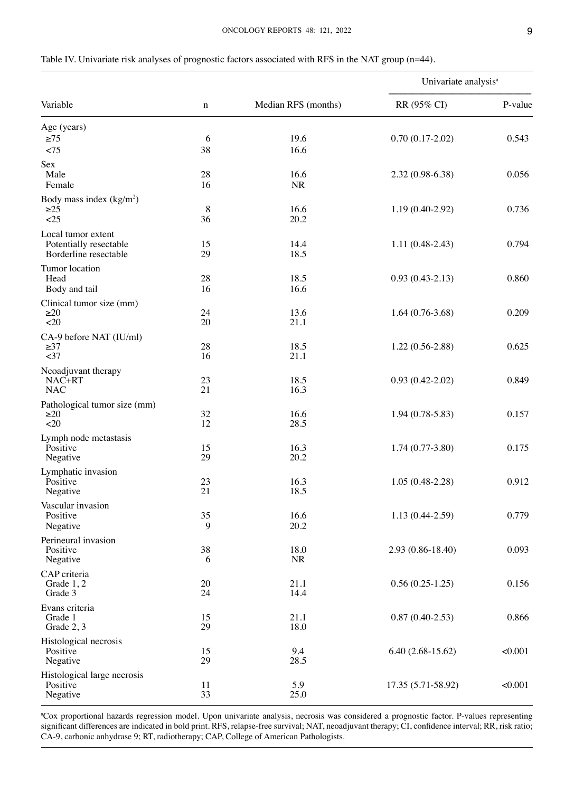| I | I |
|---|---|

| Table IV. Univariate risk analyses of prognostic factors associated with RFS in the NAT group (n=44). |  |  |  |
|-------------------------------------------------------------------------------------------------------|--|--|--|
|-------------------------------------------------------------------------------------------------------|--|--|--|

|                                                                       |             | Median RFS (months) | Univariate analysis <sup>a</sup> |         |
|-----------------------------------------------------------------------|-------------|---------------------|----------------------------------|---------|
| Variable                                                              | $\mathbf n$ |                     | RR (95% CI)                      | P-value |
| Age (years)<br>$\geq$ 75<br>< 75                                      | 6<br>38     | 19.6<br>16.6        | $0.70(0.17-2.02)$                | 0.543   |
| Sex<br>Male<br>Female                                                 | 28<br>16    | 16.6<br>$\rm NR$    | $2.32(0.98-6.38)$                | 0.056   |
| Body mass index $(kg/m2)$<br>$\geq$ 25<br><25                         | 8<br>36     | 16.6<br>20.2        | $1.19(0.40-2.92)$                | 0.736   |
| Local tumor extent<br>Potentially resectable<br>Borderline resectable | 15<br>29    | 14.4<br>18.5        | $1.11(0.48-2.43)$                | 0.794   |
| Tumor location<br>Head<br>Body and tail                               | 28<br>16    | 18.5<br>16.6        | $0.93(0.43-2.13)$                | 0.860   |
| Clinical tumor size (mm)<br>$\geq 20$<br>$20$                         | 24<br>20    | 13.6<br>21.1        | $1.64(0.76-3.68)$                | 0.209   |
| CA-9 before NAT (IU/ml)<br>$\geq 37$<br>$37$                          | 28<br>16    | 18.5<br>21.1        | $1.22(0.56-2.88)$                | 0.625   |
| Neoadjuvant therapy<br>NAC+RT<br><b>NAC</b>                           | 23<br>21    | 18.5<br>16.3        | $0.93(0.42 - 2.02)$              | 0.849   |
| Pathological tumor size (mm)<br>$\geq$ 20<br><20                      | 32<br>12    | 16.6<br>28.5        | $1.94(0.78-5.83)$                | 0.157   |
| Lymph node metastasis<br>Positive<br>Negative                         | 15<br>29    | 16.3<br>20.2        | $1.74(0.77-3.80)$                | 0.175   |
| Lymphatic invasion<br>Positive<br>Negative                            | 23<br>21    | 16.3<br>18.5        | $1.05(0.48-2.28)$                | 0.912   |
| Vascular invasion<br>Positive<br>Negative                             | 35<br>9     | 16.6<br>20.2        | $1.13(0.44-2.59)$                | 0.779   |
| Perineural invasion<br>Positive<br>Negative                           | $38\,$<br>6 | 18.0<br>NR          | 2.93 (0.86-18.40)                | 0.093   |
| CAP criteria<br>Grade 1, 2<br>Grade 3                                 | 20<br>24    | 21.1<br>14.4        | $0.56(0.25-1.25)$                | 0.156   |
| Evans criteria<br>Grade 1<br>Grade 2, 3                               | 15<br>29    | 21.1<br>18.0        | $0.87(0.40-2.53)$                | 0.866   |
| Histological necrosis<br>Positive<br>Negative                         | 15<br>29    | 9.4<br>28.5         | $6.40(2.68-15.62)$               | < 0.001 |
| Histological large necrosis<br>Positive<br>Negative                   | 11<br>33    | 5.9<br>25.0         | 17.35 (5.71-58.92)               | < 0.001 |

a Cox proportional hazards regression model. Upon univariate analysis, necrosis was considered a prognostic factor. P‑values representing significant differences are indicated in bold print. RFS, relapse‑free survival; NAT, neoadjuvant therapy; CI, confidence interval; RR, risk ratio; CA‑9, carbonic anhydrase 9; RT, radiotherapy; CAP, College of American Pathologists.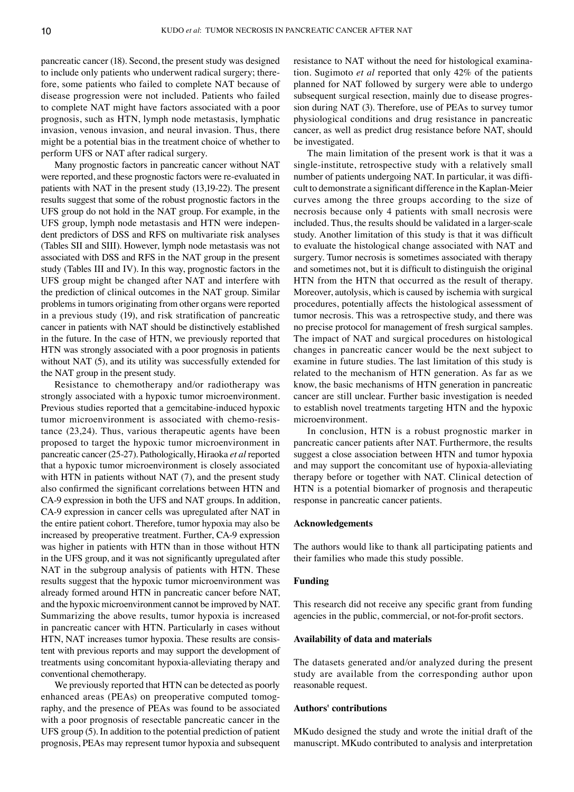pancreatic cancer (18). Second, the present study was designed to include only patients who underwent radical surgery; therefore, some patients who failed to complete NAT because of disease progression were not included. Patients who failed to complete NAT might have factors associated with a poor prognosis, such as HTN, lymph node metastasis, lymphatic invasion, venous invasion, and neural invasion. Thus, there might be a potential bias in the treatment choice of whether to perform UFS or NAT after radical surgery.

Many prognostic factors in pancreatic cancer without NAT were reported, and these prognostic factors were re‑evaluated in patients with NAT in the present study (13,19‑22). The present results suggest that some of the robust prognostic factors in the UFS group do not hold in the NAT group. For example, in the UFS group, lymph node metastasis and HTN were independent predictors of DSS and RFS on multivariate risk analyses (Tables SII and SIII). However, lymph node metastasis was not associated with DSS and RFS in the NAT group in the present study (Tables III and IV). In this way, prognostic factors in the UFS group might be changed after NAT and interfere with the prediction of clinical outcomes in the NAT group. Similar problems in tumors originating from other organs were reported in a previous study (19), and risk stratification of pancreatic cancer in patients with NAT should be distinctively established in the future. In the case of HTN, we previously reported that HTN was strongly associated with a poor prognosis in patients without NAT  $(5)$ , and its utility was successfully extended for the NAT group in the present study.

Resistance to chemotherapy and/or radiotherapy was strongly associated with a hypoxic tumor microenvironment. Previous studies reported that a gemcitabine-induced hypoxic tumor microenvironment is associated with chemo-resistance (23,24). Thus, various therapeutic agents have been proposed to target the hypoxic tumor microenvironment in pancreatic cancer (25‑27). Pathologically, Hiraoka *et al* reported that a hypoxic tumor microenvironment is closely associated with HTN in patients without NAT (7), and the present study also confirmed the significant correlations between HTN and CA‑9 expression in both the UFS and NAT groups. In addition, CA‑9 expression in cancer cells was upregulated after NAT in the entire patient cohort. Therefore, tumor hypoxia may also be increased by preoperative treatment. Further, CA‑9 expression was higher in patients with HTN than in those without HTN in the UFS group, and it was not significantly upregulated after NAT in the subgroup analysis of patients with HTN. These results suggest that the hypoxic tumor microenvironment was already formed around HTN in pancreatic cancer before NAT, and the hypoxic microenvironment cannot be improved by NAT. Summarizing the above results, tumor hypoxia is increased in pancreatic cancer with HTN. Particularly in cases without HTN, NAT increases tumor hypoxia. These results are consistent with previous reports and may support the development of treatments using concomitant hypoxia‑alleviating therapy and conventional chemotherapy.

We previously reported that HTN can be detected as poorly enhanced areas (PEAs) on preoperative computed tomography, and the presence of PEAs was found to be associated with a poor prognosis of resectable pancreatic cancer in the UFS group (5). In addition to the potential prediction of patient prognosis, PEAs may represent tumor hypoxia and subsequent resistance to NAT without the need for histological examination. Sugimoto *et al* reported that only 42% of the patients planned for NAT followed by surgery were able to undergo subsequent surgical resection, mainly due to disease progression during NAT (3). Therefore, use of PEAs to survey tumor physiological conditions and drug resistance in pancreatic cancer, as well as predict drug resistance before NAT, should be investigated.

The main limitation of the present work is that it was a single-institute, retrospective study with a relatively small number of patients undergoing NAT. In particular, it was difficult to demonstrate a significant difference in the Kaplan‑Meier curves among the three groups according to the size of necrosis because only 4 patients with small necrosis were included. Thus, the results should be validated in a larger-scale study. Another limitation of this study is that it was difficult to evaluate the histological change associated with NAT and surgery. Tumor necrosis is sometimes associated with therapy and sometimes not, but it is difficult to distinguish the original HTN from the HTN that occurred as the result of therapy. Moreover, autolysis, which is caused by ischemia with surgical procedures, potentially affects the histological assessment of tumor necrosis. This was a retrospective study, and there was no precise protocol for management of fresh surgical samples. The impact of NAT and surgical procedures on histological changes in pancreatic cancer would be the next subject to examine in future studies. The last limitation of this study is related to the mechanism of HTN generation. As far as we know, the basic mechanisms of HTN generation in pancreatic cancer are still unclear. Further basic investigation is needed to establish novel treatments targeting HTN and the hypoxic microenvironment.

In conclusion, HTN is a robust prognostic marker in pancreatic cancer patients after NAT. Furthermore, the results suggest a close association between HTN and tumor hypoxia and may support the concomitant use of hypoxia‑alleviating therapy before or together with NAT. Clinical detection of HTN is a potential biomarker of prognosis and therapeutic response in pancreatic cancer patients.

### **Acknowledgements**

The authors would like to thank all participating patients and their families who made this study possible.

# **Funding**

This research did not receive any specific grant from funding agencies in the public, commercial, or not-for-profit sectors.

# **Availability of data and materials**

The datasets generated and/or analyzed during the present study are available from the corresponding author upon reasonable request.

### **Authors' contributions**

MKudo designed the study and wrote the initial draft of the manuscript. MKudo contributed to analysis and interpretation